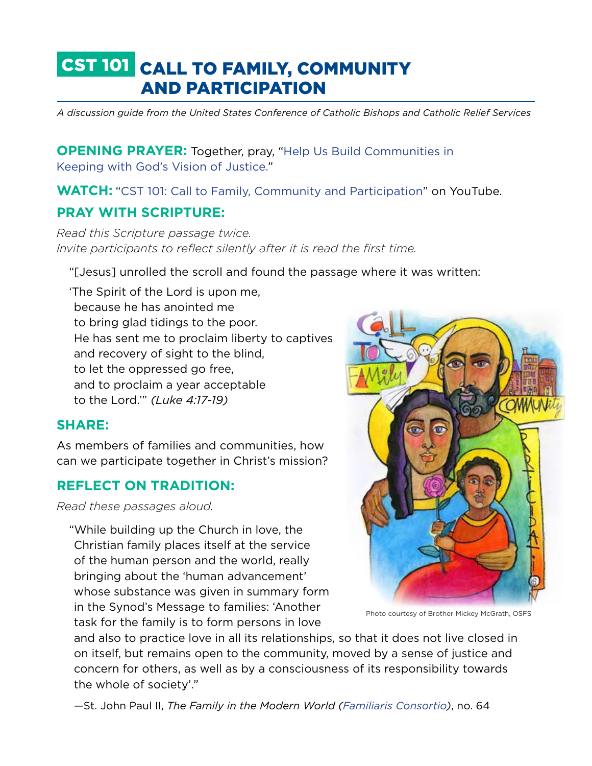# CST 101 CALL TO FAMILY, COMMUNITY AND PARTICIPATION

*A discussion guide from the United States Conference of Catholic Bishops and Catholic Relief Services*

**OPENING PRAYER:** Together, pray, "Help Us Build Communities in [Keeping with God's Vision of Justice.](http://www.usccb.org/prayer-and-worship/prayers-and-devotions/prayers/help-us-build-communities-in-gods-vision-of-justice.cfm)"

**WATCH:** "[CST 101: Call to Family, Community and Participation](https://youtu.be/giQgWakrgQs)" on YouTube.

# **PRAY WITH SCRIPTURE:**

*Read this Scripture passage twice. Invite participants to reflect silently after it is read the first time.* 

"[Jesus] unrolled the scroll and found the passage where it was written:

'The Spirit of the Lord is upon me, because he has anointed me to bring glad tidings to the poor. He has sent me to proclaim liberty to captives and recovery of sight to the blind, to let the oppressed go free, and to proclaim a year acceptable to the Lord.'" *(Luke 4:17-19)*

### **SHARE:**

As members of families and communities, how can we participate together in Christ's mission?

# **REFLECT ON TRADITION:**

*Read these passages aloud.*

"While building up the Church in love, the Christian family places itself at the service of the human person and the world, really bringing about the 'human advancement' whose substance was given in summary form in the Synod's Message to families: 'Another task for the family is to form persons in love

and also to practice love in all its relationships, so that it does not live closed in on itself, but remains open to the community, moved by a sense of justice and concern for others, as well as by a consciousness of its responsibility towards the whole of society'."

—St. John Paul II, *The Family in the Modern World ([Familiaris Consortio](http://w2.vatican.va/content/john-paul-ii/en/apost_exhortations/documents/hf_jp-ii_exh_19811122_familiaris-consortio.html))*, no. 64

Photo courtesy of Brother Mickey McGrath, OSFS